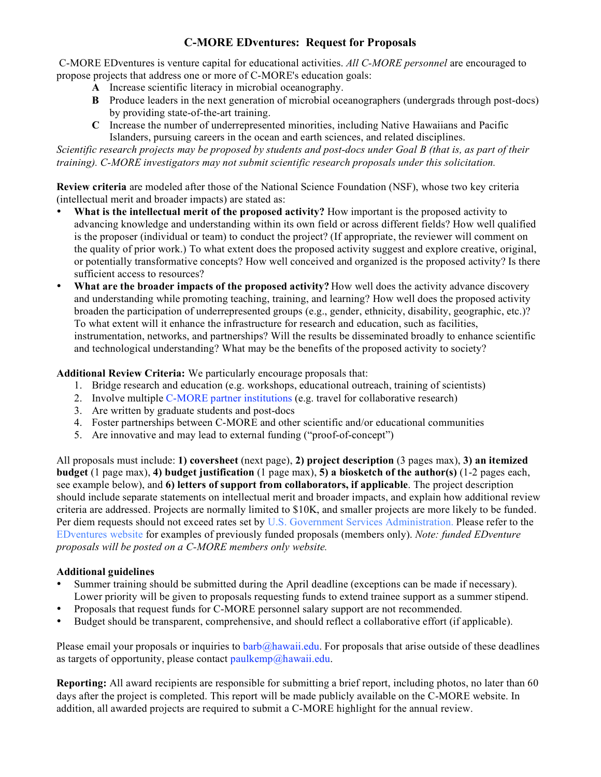# **C-MORE EDventures: Request for Proposals**

 C-MORE EDventures is venture capital for educational activities. *All C-MORE personnel* are encouraged to propose projects that address one or more of C-MORE's education goals:

- **A** Increase scientific literacy in microbial oceanography.
- **B** Produce leaders in the next generation of microbial oceanographers (undergrads through post-docs) by providing state-of-the-art training.
- **C** Increase the number of underrepresented minorities, including Native Hawaiians and Pacific Islanders, pursuing careers in the ocean and earth sciences, and related disciplines.

*Scientific research projects may be proposed by students and post-docs under Goal B (that is, as part of their training). C-MORE investigators may not submit scientific research proposals under this solicitation.*

**Review criteria** are modeled after those of the National Science Foundation (NSF), whose two key criteria (intellectual merit and broader impacts) are stated as:

- **What is the intellectual merit of the proposed activity?** How important is the proposed activity to advancing knowledge and understanding within its own field or across different fields? How well qualified is the proposer (individual or team) to conduct the project? (If appropriate, the reviewer will comment on the quality of prior work.) To what extent does the proposed activity suggest and explore creative, original, or potentially transformative concepts? How well conceived and organized is the proposed activity? Is there sufficient access to resources?
- **What are the broader impacts of the proposed activity?** How well does the activity advance discovery and understanding while promoting teaching, training, and learning? How well does the proposed activity broaden the participation of underrepresented groups (e.g., gender, ethnicity, disability, geographic, etc.)? To what extent will it enhance the infrastructure for research and education, such as facilities, instrumentation, networks, and partnerships? Will the results be disseminated broadly to enhance scientific and technological understanding? What may be the benefits of the proposed activity to society?

### **Additional Review Criteria:** We particularly encourage proposals that:

- 1. Bridge research and education (e.g. workshops, educational outreach, training of scientists)
- 2. Involve multiple [C-MORE partner institutions](http://cmore.soest.hawaii.edu/information/institutions.htm) (e.g. travel for collaborative research)
- 3. Are written by graduate students and post-docs
- 4. Foster partnerships between C-MORE and other scientific and/or educational communities
- 5. Are innovative and may lead to external funding ("proof-of-concept")

All proposals must include: **1) coversheet** (next page), **2) project description** (3 pages max), **3) an itemized budget** (1 page max), **4) budget justification** (1 page max), **5) a biosketch of the author(s)** (1-2 pages each, see example below), and **6) letters of support from collaborators, if applicable**. The project description should include separate statements on intellectual merit and broader impacts, and explain how additional review criteria are addressed. Projects are normally limited to \$10K, and smaller projects are more likely to be funded. Per diem requests should not exceed rates set by [U.S. Government Services Administration](http://www.gsa.gov/portal/category/21287). Please refer to the [EDventures website](http://cmore.soest.hawaii.edu/education/edventures_projects.htm) for examples of previously funded proposals (members only). *Note: funded EDventure proposals will be posted on a C-MORE members only website.*

#### **Additional guidelines**

- Summer training should be submitted during the April deadline (exceptions can be made if necessary). Lower priority will be given to proposals requesting funds to extend trainee support as a summer stipend.
- Proposals that request funds for C-MORE personnel salary support are not recommended.
- Budget should be transparent, comprehensive, and should reflect a collaborative effort (if applicable).

Please email your proposals or inquiries to  $bar(\phi_a)$ hawaii.edu. For proposals that arise outside of these deadlines as targets of opportunity, please contact  $paulkemp@hawai.edu$ .

**Reporting:** All award recipients are responsible for submitting a brief report, including photos, no later than 60 days after the project is completed. This report will be made publicly available on the C-MORE website. In addition, all awarded projects are required to submit a C-MORE highlight for the annual review.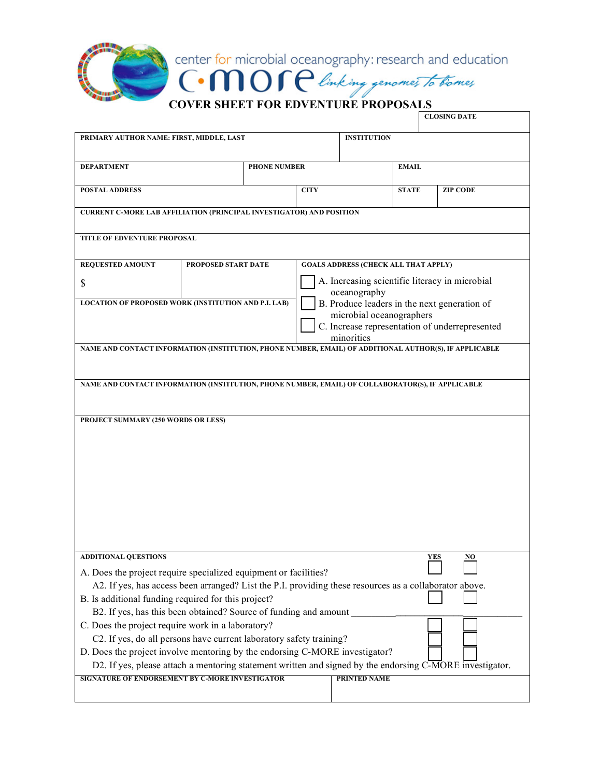

|                                                                                                                                                               |                     |             |                                             |              | <b>CLOSING DATE</b>                            |  |
|---------------------------------------------------------------------------------------------------------------------------------------------------------------|---------------------|-------------|---------------------------------------------|--------------|------------------------------------------------|--|
| PRIMARY AUTHOR NAME: FIRST, MIDDLE, LAST                                                                                                                      |                     |             | <b>INSTITUTION</b>                          |              |                                                |  |
|                                                                                                                                                               |                     |             |                                             |              |                                                |  |
| <b>DEPARTMENT</b>                                                                                                                                             | <b>PHONE NUMBER</b> |             |                                             | <b>EMAIL</b> |                                                |  |
| <b>POSTAL ADDRESS</b>                                                                                                                                         |                     | <b>CITY</b> |                                             | <b>STATE</b> | <b>ZIP CODE</b>                                |  |
| <b>CURRENT C-MORE LAB AFFILIATION (PRINCIPAL INVESTIGATOR) AND POSITION</b>                                                                                   |                     |             |                                             |              |                                                |  |
| TITLE OF EDVENTURE PROPOSAL                                                                                                                                   |                     |             |                                             |              |                                                |  |
| <b>REQUESTED AMOUNT</b>                                                                                                                                       | PROPOSED START DATE |             | <b>GOALS ADDRESS (CHECK ALL THAT APPLY)</b> |              |                                                |  |
| \$                                                                                                                                                            |                     |             | oceanography                                |              | A. Increasing scientific literacy in microbial |  |
| <b>LOCATION OF PROPOSED WORK (INSTITUTION AND P.I. LAB)</b><br>B. Produce leaders in the next generation of<br>microbial oceanographers                       |                     |             |                                             |              |                                                |  |
|                                                                                                                                                               |                     |             |                                             |              | C. Increase representation of underrepresented |  |
| NAME AND CONTACT INFORMATION (INSTITUTION, PHONE NUMBER, EMAIL) OF ADDITIONAL AUTHOR(S), IF APPLICABLE                                                        |                     |             | minorities                                  |              |                                                |  |
|                                                                                                                                                               |                     |             |                                             |              |                                                |  |
| NAME AND CONTACT INFORMATION (INSTITUTION, PHONE NUMBER, EMAIL) OF COLLABORATOR(S), IF APPLICABLE                                                             |                     |             |                                             |              |                                                |  |
|                                                                                                                                                               |                     |             |                                             |              |                                                |  |
| PROJECT SUMMARY (250 WORDS OR LESS)                                                                                                                           |                     |             |                                             |              |                                                |  |
|                                                                                                                                                               |                     |             |                                             |              |                                                |  |
|                                                                                                                                                               |                     |             |                                             |              |                                                |  |
|                                                                                                                                                               |                     |             |                                             |              |                                                |  |
|                                                                                                                                                               |                     |             |                                             |              |                                                |  |
|                                                                                                                                                               |                     |             |                                             |              |                                                |  |
|                                                                                                                                                               |                     |             |                                             |              |                                                |  |
| <b>ADDITIONAL QUESTIONS</b>                                                                                                                                   |                     |             |                                             | YES          | NO                                             |  |
| A. Does the project require specialized equipment or facilities?                                                                                              |                     |             |                                             |              |                                                |  |
| A2. If yes, has access been arranged? List the P.I. providing these resources as a collaborator above.<br>B. Is additional funding required for this project? |                     |             |                                             |              |                                                |  |
| B2. If yes, has this been obtained? Source of funding and amount                                                                                              |                     |             |                                             |              |                                                |  |
| C. Does the project require work in a laboratory?                                                                                                             |                     |             |                                             |              |                                                |  |
| C2. If yes, do all persons have current laboratory safety training?<br>D. Does the project involve mentoring by the endorsing C-MORE investigator?            |                     |             |                                             |              |                                                |  |
| D2. If yes, please attach a mentoring statement written and signed by the endorsing C-MORE investigator.                                                      |                     |             |                                             |              |                                                |  |
| SIGNATURE OF ENDORSEMENT BY C-MORE INVESTIGATOR                                                                                                               |                     |             | <b>PRINTED NAME</b>                         |              |                                                |  |